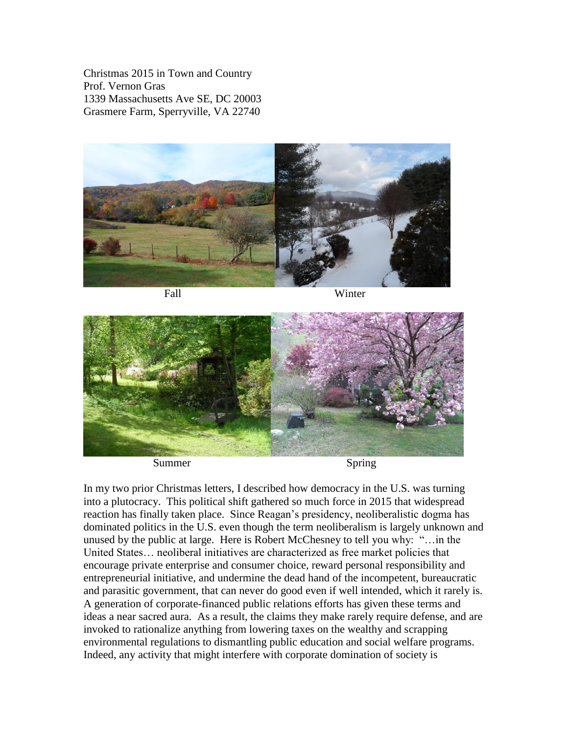Christmas 2015 in Town and Country Prof. Vernon Gras 1339 Massachusetts Ave SE, DC 20003 Grasmere Farm, Sperryville, VA 22740



Fall Winter



In my two prior Christmas letters, I described how democracy in the U.S. was turning into a plutocracy. This political shift gathered so much force in 2015 that widespread reaction has finally taken place. Since Reagan's presidency, neoliberalistic dogma has dominated politics in the U.S. even though the term neoliberalism is largely unknown and unused by the public at large. Here is Robert McChesney to tell you why: "…in the United States… neoliberal initiatives are characterized as free market policies that encourage private enterprise and consumer choice, reward personal responsibility and entrepreneurial initiative, and undermine the dead hand of the incompetent, bureaucratic and parasitic government, that can never do good even if well intended, which it rarely is. A generation of corporate-financed public relations efforts has given these terms and ideas a near sacred aura. As a result, the claims they make rarely require defense, and are invoked to rationalize anything from lowering taxes on the wealthy and scrapping environmental regulations to dismantling public education and social welfare programs. Indeed, any activity that might interfere with corporate domination of society is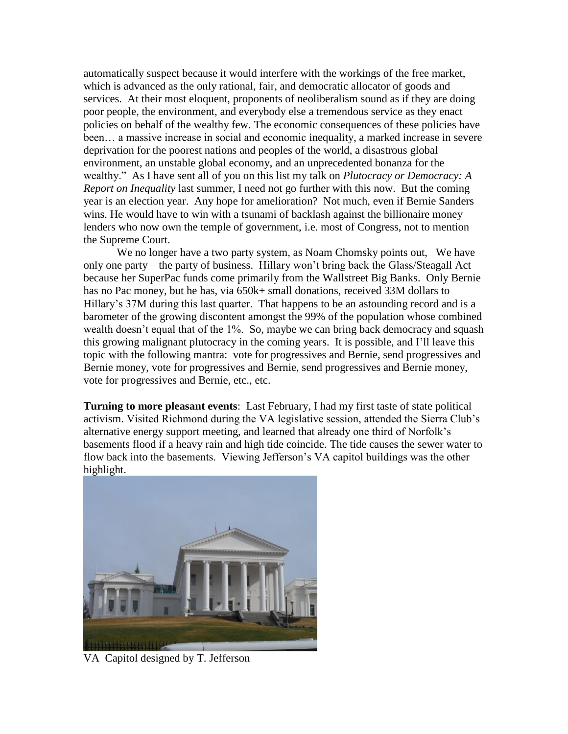automatically suspect because it would interfere with the workings of the free market, which is advanced as the only rational, fair, and democratic allocator of goods and services. At their most eloquent, proponents of neoliberalism sound as if they are doing poor people, the environment, and everybody else a tremendous service as they enact policies on behalf of the wealthy few. The economic consequences of these policies have been… a massive increase in social and economic inequality, a marked increase in severe deprivation for the poorest nations and peoples of the world, a disastrous global environment, an unstable global economy, and an unprecedented bonanza for the wealthy." As I have sent all of you on this list my talk on *Plutocracy or Democracy: A Report on Inequality* last summer, I need not go further with this now. But the coming year is an election year. Any hope for amelioration? Not much, even if Bernie Sanders wins. He would have to win with a tsunami of backlash against the billionaire money lenders who now own the temple of government, i.e. most of Congress, not to mention the Supreme Court.

We no longer have a two party system, as Noam Chomsky points out, We have only one party – the party of business. Hillary won't bring back the Glass/Steagall Act because her SuperPac funds come primarily from the Wallstreet Big Banks. Only Bernie has no Pac money, but he has, via 650k+ small donations, received 33M dollars to Hillary's 37M during this last quarter. That happens to be an astounding record and is a barometer of the growing discontent amongst the 99% of the population whose combined wealth doesn't equal that of the 1%. So, maybe we can bring back democracy and squash this growing malignant plutocracy in the coming years. It is possible, and I'll leave this topic with the following mantra: vote for progressives and Bernie, send progressives and Bernie money, vote for progressives and Bernie, send progressives and Bernie money, vote for progressives and Bernie, etc., etc.

**Turning to more pleasant events**: Last February, I had my first taste of state political activism. Visited Richmond during the VA legislative session, attended the Sierra Club's alternative energy support meeting, and learned that already one third of Norfolk's basements flood if a heavy rain and high tide coincide. The tide causes the sewer water to flow back into the basements. Viewing Jefferson's VA capitol buildings was the other highlight.



VA Capitol designed by T. Jefferson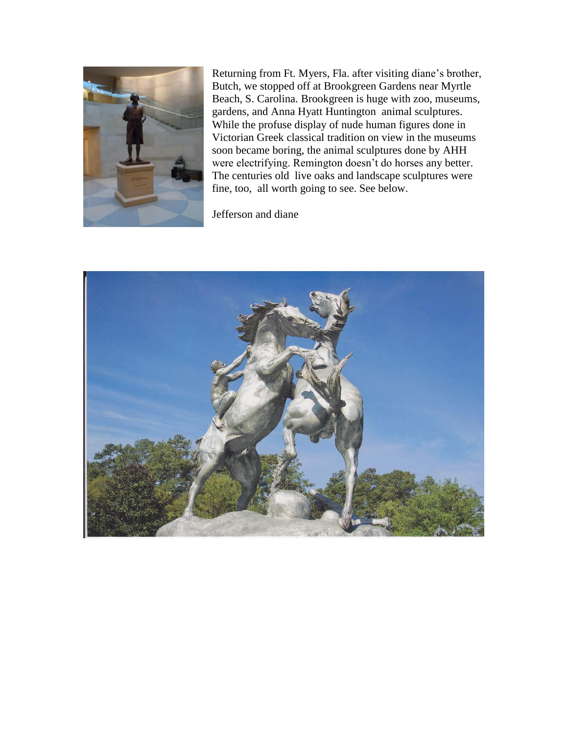

Returning from Ft. Myers, Fla. after visiting diane's brother, Butch, we stopped off at Brookgreen Gardens near Myrtle Beach, S. Carolina. Brookgreen is huge with zoo, museums, gardens, and Anna Hyatt Huntington animal sculptures. While the profuse display of nude human figures done in Victorian Greek classical tradition on view in the museums soon became boring, the animal sculptures done by AHH were electrifying. Remington doesn't do horses any better. The centuries old live oaks and landscape sculptures were fine, too, all worth going to see. See below.

Jefferson and diane